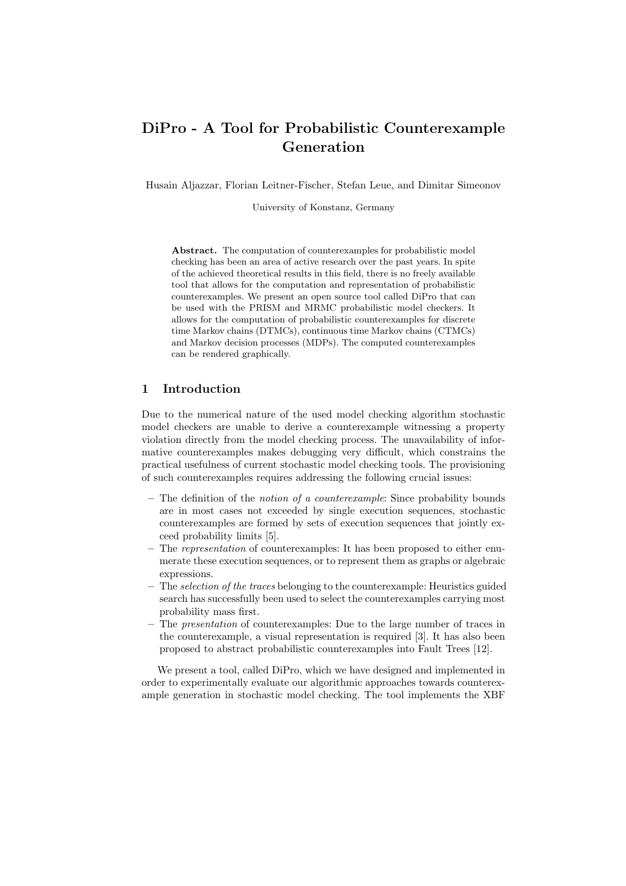# DiPro - A Tool for Probabilistic Counterexample Generation

Husain Aljazzar, Florian Leitner-Fischer, Stefan Leue, and Dimitar Simeonov

University of Konstanz, Germany

Abstract. The computation of counterexamples for probabilistic model checking has been an area of active research over the past years. In spite of the achieved theoretical results in this field, there is no freely available tool that allows for the computation and representation of probabilistic counterexamples. We present an open source tool called DiPro that can be used with the PRISM and MRMC probabilistic model checkers. It allows for the computation of probabilistic counterexamples for discrete time Markov chains (DTMCs), continuous time Markov chains (CTMCs) and Markov decision processes (MDPs). The computed counterexamples can be rendered graphically.

## 1 Introduction

Due to the numerical nature of the used model checking algorithm stochastic model checkers are unable to derive a counterexample witnessing a property violation directly from the model checking process. The unavailability of informative counterexamples makes debugging very difficult, which constrains the practical usefulness of current stochastic model checking tools. The provisioning of such counterexamples requires addressing the following crucial issues:

- The definition of the *notion of a counterexample*: Since probability bounds are in most cases not exceeded by single execution sequences, stochastic counterexamples are formed by sets of execution sequences that jointly exceed probability limits [5].
- The representation of counterexamples: It has been proposed to either enumerate these execution sequences, or to represent them as graphs or algebraic expressions.
- The selection of the traces belonging to the counterexample: Heuristics guided search has successfully been used to select the counterexamples carrying most probability mass first.
- The presentation of counterexamples: Due to the large number of traces in the counterexample, a visual representation is required [3]. It has also been proposed to abstract probabilistic counterexamples into Fault Trees [12].

We present a tool, called DiPro, which we have designed and implemented in order to experimentally evaluate our algorithmic approaches towards counterexample generation in stochastic model checking. The tool implements the XBF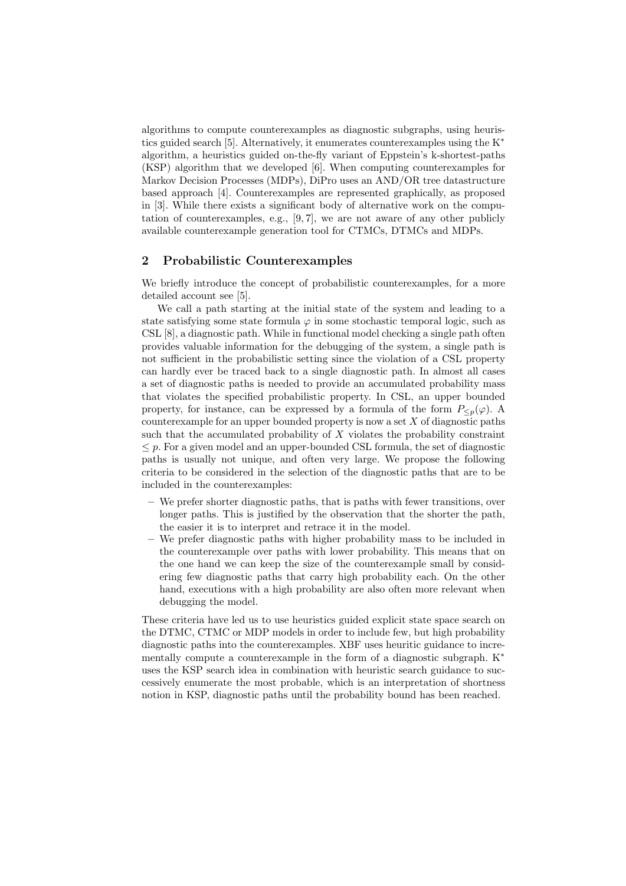algorithms to compute counterexamples as diagnostic subgraphs, using heuristics guided search [5]. Alternatively, it enumerates counterexamples using the  $K^*$ algorithm, a heuristics guided on-the-fly variant of Eppstein's k-shortest-paths (KSP) algorithm that we developed [6]. When computing counterexamples for Markov Decision Processes (MDPs), DiPro uses an AND/OR tree datastructure based approach [4]. Counterexamples are represented graphically, as proposed in [3]. While there exists a significant body of alternative work on the computation of counterexamples, e.g., [9, 7], we are not aware of any other publicly available counterexample generation tool for CTMCs, DTMCs and MDPs.

#### 2 Probabilistic Counterexamples

We briefly introduce the concept of probabilistic counterexamples, for a more detailed account see [5].

We call a path starting at the initial state of the system and leading to a state satisfying some state formula  $\varphi$  in some stochastic temporal logic, such as CSL [8], a diagnostic path. While in functional model checking a single path often provides valuable information for the debugging of the system, a single path is not sufficient in the probabilistic setting since the violation of a CSL property can hardly ever be traced back to a single diagnostic path. In almost all cases a set of diagnostic paths is needed to provide an accumulated probability mass that violates the specified probabilistic property. In CSL, an upper bounded property, for instance, can be expressed by a formula of the form  $P_{\leq p}(\varphi)$ . A counterexample for an upper bounded property is now a set  $X$  of diagnostic paths such that the accumulated probability of  $X$  violates the probability constraint  $\leq p$ . For a given model and an upper-bounded CSL formula, the set of diagnostic paths is usually not unique, and often very large. We propose the following criteria to be considered in the selection of the diagnostic paths that are to be included in the counterexamples:

- We prefer shorter diagnostic paths, that is paths with fewer transitions, over longer paths. This is justified by the observation that the shorter the path, the easier it is to interpret and retrace it in the model.
- We prefer diagnostic paths with higher probability mass to be included in the counterexample over paths with lower probability. This means that on the one hand we can keep the size of the counterexample small by considering few diagnostic paths that carry high probability each. On the other hand, executions with a high probability are also often more relevant when debugging the model.

These criteria have led us to use heuristics guided explicit state space search on the DTMC, CTMC or MDP models in order to include few, but high probability diagnostic paths into the counterexamples. XBF uses heuritic guidance to incrementally compute a counterexample in the form of a diagnostic subgraph.  $K^*$ uses the KSP search idea in combination with heuristic search guidance to successively enumerate the most probable, which is an interpretation of shortness notion in KSP, diagnostic paths until the probability bound has been reached.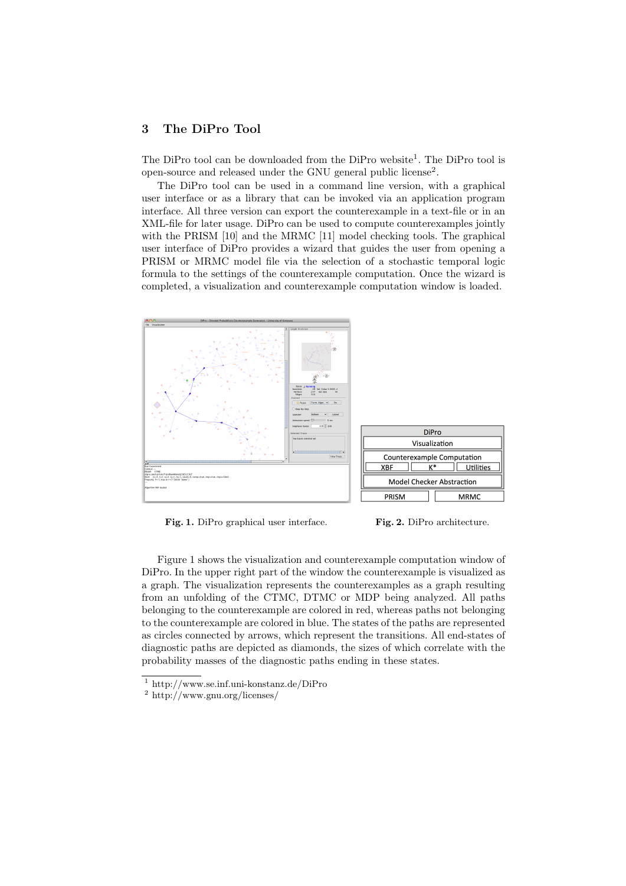### 3 The DiPro Tool

The DiPro tool can be downloaded from the DiPro website<sup>1</sup>. The DiPro tool is open-source and released under the GNU general public license<sup>2</sup>.

The DiPro tool can be used in a command line version, with a graphical user interface or as a library that can be invoked via an application program interface. All three version can export the counterexample in a text-file or in an XML-file for later usage. DiPro can be used to compute counterexamples jointly with the PRISM [10] and the MRMC [11] model checking tools. The graphical user interface of DiPro provides a wizard that guides the user from opening a PRISM or MRMC model file via the selection of a stochastic temporal logic formula to the settings of the counterexample computation. Once the wizard is completed, a visualization and counterexample computation window is loaded.



Fig. 1. DiPro graphical user interface. Fig. 2. DiPro architecture.

Figure 1 shows the visualization and counterexample computation window of DiPro. In the upper right part of the window the counterexample is visualized as a graph. The visualization represents the counterexamples as a graph resulting from an unfolding of the CTMC, DTMC or MDP being analyzed. All paths belonging to the counterexample are colored in red, whereas paths not belonging to the counterexample are colored in blue. The states of the paths are represented as circles connected by arrows, which represent the transitions. All end-states of diagnostic paths are depicted as diamonds, the sizes of which correlate with the probability masses of the diagnostic paths ending in these states.

<sup>1</sup> http://www.se.inf.uni-konstanz.de/DiPro

<sup>2</sup> http://www.gnu.org/licenses/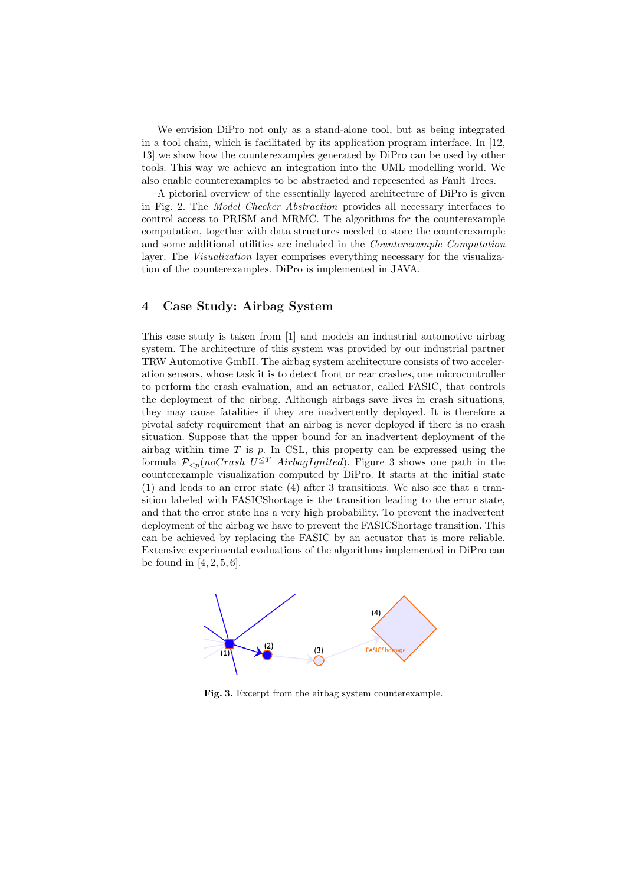We envision DiPro not only as a stand-alone tool, but as being integrated in a tool chain, which is facilitated by its application program interface. In [12, 13] we show how the counterexamples generated by DiPro can be used by other tools. This way we achieve an integration into the UML modelling world. We also enable counterexamples to be abstracted and represented as Fault Trees.

A pictorial overview of the essentially layered architecture of DiPro is given in Fig. 2. The Model Checker Abstraction provides all necessary interfaces to control access to PRISM and MRMC. The algorithms for the counterexample computation, together with data structures needed to store the counterexample and some additional utilities are included in the Counterexample Computation layer. The *Visualization* layer comprises everything necessary for the visualization of the counterexamples. DiPro is implemented in JAVA.

## 4 Case Study: Airbag System

This case study is taken from [1] and models an industrial automotive airbag system. The architecture of this system was provided by our industrial partner TRW Automotive GmbH. The airbag system architecture consists of two acceleration sensors, whose task it is to detect front or rear crashes, one microcontroller to perform the crash evaluation, and an actuator, called FASIC, that controls the deployment of the airbag. Although airbags save lives in crash situations, they may cause fatalities if they are inadvertently deployed. It is therefore a pivotal safety requirement that an airbag is never deployed if there is no crash situation. Suppose that the upper bound for an inadvertent deployment of the airbag within time  $T$  is  $p$ . In CSL, this property can be expressed using the formula  $P_{\leq p}(noCrash U^{\leq T}$  AirbagIgnited). Figure 3 shows one path in the counterexample visualization computed by DiPro. It starts at the initial state (1) and leads to an error state (4) after 3 transitions. We also see that a transition labeled with FASICShortage is the transition leading to the error state, and that the error state has a very high probability. To prevent the inadvertent deployment of the airbag we have to prevent the FASICShortage transition. This can be achieved by replacing the FASIC by an actuator that is more reliable. Extensive experimental evaluations of the algorithms implemented in DiPro can be found in  $[4, 2, 5, 6]$ .



Fig. 3. Excerpt from the airbag system counterexample.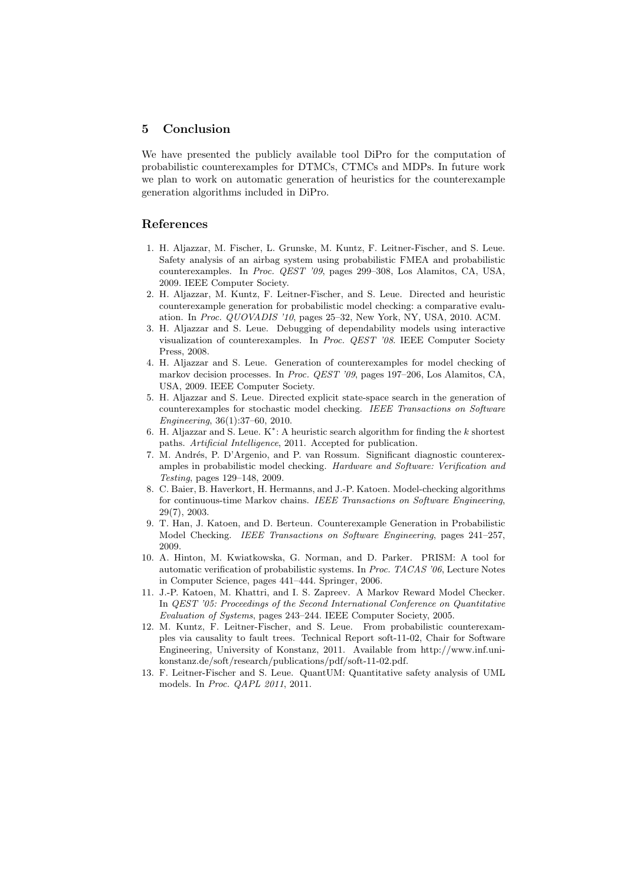#### 5 Conclusion

We have presented the publicly available tool DiPro for the computation of probabilistic counterexamples for DTMCs, CTMCs and MDPs. In future work we plan to work on automatic generation of heuristics for the counterexample generation algorithms included in DiPro.

### References

- 1. H. Aljazzar, M. Fischer, L. Grunske, M. Kuntz, F. Leitner-Fischer, and S. Leue. Safety analysis of an airbag system using probabilistic FMEA and probabilistic counterexamples. In Proc. QEST '09, pages 299–308, Los Alamitos, CA, USA, 2009. IEEE Computer Society.
- 2. H. Aljazzar, M. Kuntz, F. Leitner-Fischer, and S. Leue. Directed and heuristic counterexample generation for probabilistic model checking: a comparative evaluation. In Proc. QUOVADIS '10, pages 25–32, New York, NY, USA, 2010. ACM.
- 3. H. Aljazzar and S. Leue. Debugging of dependability models using interactive visualization of counterexamples. In Proc. QEST '08. IEEE Computer Society Press, 2008.
- 4. H. Aljazzar and S. Leue. Generation of counterexamples for model checking of markov decision processes. In Proc. QEST '09, pages 197–206, Los Alamitos, CA, USA, 2009. IEEE Computer Society.
- 5. H. Aljazzar and S. Leue. Directed explicit state-space search in the generation of counterexamples for stochastic model checking. IEEE Transactions on Software Engineering, 36(1):37–60, 2010.
- 6. H. Aljazzar and S. Leue.  $K^*$ : A heuristic search algorithm for finding the  $k$  shortest paths. Artificial Intelligence, 2011. Accepted for publication.
- 7. M. Andrés, P. D'Argenio, and P. van Rossum. Significant diagnostic counterexamples in probabilistic model checking. Hardware and Software: Verification and Testing, pages 129–148, 2009.
- 8. C. Baier, B. Haverkort, H. Hermanns, and J.-P. Katoen. Model-checking algorithms for continuous-time Markov chains. IEEE Transactions on Software Engineering, 29(7), 2003.
- 9. T. Han, J. Katoen, and D. Berteun. Counterexample Generation in Probabilistic Model Checking. IEEE Transactions on Software Engineering, pages 241–257, 2009.
- 10. A. Hinton, M. Kwiatkowska, G. Norman, and D. Parker. PRISM: A tool for automatic verification of probabilistic systems. In Proc. TACAS '06, Lecture Notes in Computer Science, pages 441–444. Springer, 2006.
- 11. J.-P. Katoen, M. Khattri, and I. S. Zapreev. A Markov Reward Model Checker. In QEST '05: Proceedings of the Second International Conference on Quantitative Evaluation of Systems, pages 243–244. IEEE Computer Society, 2005.
- 12. M. Kuntz, F. Leitner-Fischer, and S. Leue. From probabilistic counterexamples via causality to fault trees. Technical Report soft-11-02, Chair for Software Engineering, University of Konstanz, 2011. Available from http://www.inf.unikonstanz.de/soft/research/publications/pdf/soft-11-02.pdf.
- 13. F. Leitner-Fischer and S. Leue. QuantUM: Quantitative safety analysis of UML models. In Proc. QAPL 2011, 2011.